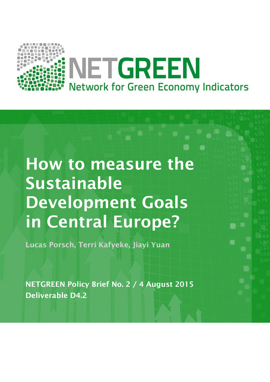

# **How to measure the Sustainable Development Goals in Central Europe?**

**Lucas Porsch, Terri Kafyeke, Jiayi Yuan** 

**NETGREEN Policy Brief No. 2 / 4 August 2015 Deliverable D4.2**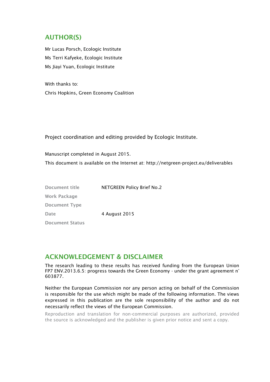### **AUTHOR(S)**

Mr Lucas Porsch, Ecologic Institute Ms Terri Kafyeke, Ecologic Institute Ms Jiayi Yuan, Ecologic Institute

With thanks to: Chris Hopkins, Green Economy Coalition

Project coordination and editing provided by Ecologic Institute.

Manuscript completed in August 2015.

This document is available on the Internet at: http://netgreen-project.eu/deliverables

| Document title         | NETGREEN Policy Brief No.2 |
|------------------------|----------------------------|
| <b>Work Package</b>    |                            |
| <b>Document Type</b>   |                            |
| Date                   | 4 August 2015              |
| <b>Document Status</b> |                            |

#### **ACKNOWLEDGEMENT & DISCLAIMER**

The research leading to these results has received funding from the European Union FP7 ENV.2013.6.5: progress towards the Green Economy - under the grant agreement n° 603877.

Neither the European Commission nor any person acting on behalf of the Commission is responsible for the use which might be made of the following information. The views expressed in this publication are the sole responsibility of the author and do not necessarily reflect the views of the European Commission.

Reproduction and translation for non-commercial purposes are authorized, provided the source is acknowledged and the publisher is given prior notice and sent a copy.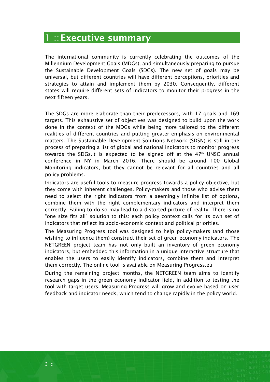# 1 ::**Executive summary**

The international community is currently celebrating the outcomes of the Millennium Development Goals (MDGs), and simultaneously preparing to pursue the Sustainable Development Goals (SDGs). The new set of goals may be universal, but different countries will have different perceptions, priorities and strategies to attain and implement them by 2030. Consequently, different states will require different sets of indicators to monitor their progress in the next fifteen years.

The SDGs are more elaborate than their predecessors, with 17 goals and 169 targets. This exhaustive set of objectives was designed to build upon the work done in the context of the MDGs while being more tailored to the different realities of different countries and putting greater emphasis on environmental matters. The Sustainable Development Solutions Network (SDSN) is still in the process of preparing a list of global and national indicators to monitor progress towards the SDGs.It is expected to be signed off at the  $47<sup>th</sup>$  UNSC annual conference in NY in March 2016. There should be around 100 Global Monitoring indicators, but they cannot be relevant for all countries and all policy problems.

Indicators are useful tools to measure progress towards a policy objective, but they come with inherent challenges. Policy-makers and those who advise them need to select the right indicators from a seemingly infinite list of options, combine them with the right complementary indicators and interpret them correctly. Failing to do so may lead to a distorted picture of reality. There is no "one size fits all" solution to this: each policy context calls for its own set of indicators that reflect its socio-economic context and political priorities.

The Measuring Progress tool was designed to help policy-makers (and those wishing to influence them) construct their set of green economy indicators. The NETGREEN project team has not only built an inventory of green economy indicators, but embedded this information in a unique interactive structure that enables the users to easily identify indicators, combine them and interpret them correctly. The online tool is available on Measuring-Progress.eu

During the remaining project months, the NETGREEN team aims to identify research gaps in the green economy indicator field, in addition to testing the tool with target users. Measuring Progress will grow and evolve based on user feedback and indicator needs, which tend to change rapidly in the policy world.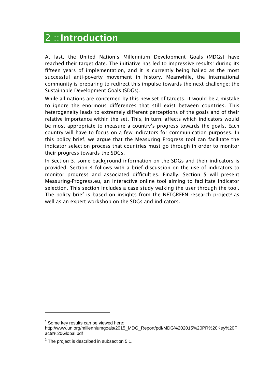# 2 ::**Introduction**

At last, the United Nation's Millennium Development Goals (MDGs) have reached their target date. The initiative has led to impressive results<sup>1</sup> during its fifteen years of implementation, and it is currently being hailed as the most successful anti-poverty movement in history. Meanwhile, the international community is preparing to redirect this impulse towards the next challenge: the Sustainable Development Goals (SDGs).

While all nations are concerned by this new set of targets, it would be a mistake to ignore the enormous differences that still exist between countries. This heterogeneity leads to extremely different perceptions of the goals and of their relative importance within the set. This, in turn, affects which indicators would be most appropriate to measure a country's progress towards the goals. Each country will have to focus on a few indicators for communication purposes. In this policy brief, we argue that the Measuring Progress tool can facilitate the indicator selection process that countries must go through in order to monitor their progress towards the SDGs.

In Section 3, some background information on the SDGs and their indicators is provided. Section 4 follows with a brief discussion on the use of indicators to monitor progress and associated difficulties. Finally, Section 5 will present Measuring-Progress.eu, an interactive online tool aiming to facilitate indicator selection. This section includes a case study walking the user through the tool. The policy brief is based on insights from the NETGREEN research project<sup>2</sup> as well as an expert workshop on the SDGs and indicators.

 $1$  Some key results can be viewed here: http://www.un.org/millenniumgoals/2015\_MDG\_Report/pdf/MDG%202015%20PR%20Key%20F acts%20Global.pdf

 $2$  The project is described in subsection 5.1.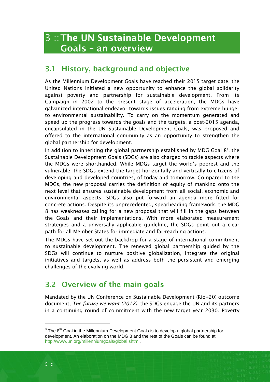# 3 ::**The UN Sustainable Development Goals – an overview**

# **3.1 History, background and objective**

As the Millennium Development Goals have reached their 2015 target date, the United Nations initiated a new opportunity to enhance the global solidarity against poverty and partnership for sustainable development. From its Campaign in 2002 to the present stage of acceleration, the MDGs have galvanized international endeavor towards issues ranging from extreme hunger to environmental sustainability. To carry on the momentum generated and speed up the progress towards the goals and the targets, a post-2015 agenda, encapsulated in the UN Sustainable Development Goals, was proposed and offered to the international community as an opportunity to strengthen the global partnership for development.

In addition to inheriting the global partnership established by MDG Goal  $8<sup>3</sup>$ , the Sustainable Development Goals (SDGs) are also charged to tackle aspects where the MDGs were shorthanded. While MDGs target the world's poorest and the vulnerable, the SDGs extend the target horizontally and vertically to citizens of developing and developed countries, of today and tomorrow. Compared to the MDGs, the new proposal carries the definition of equity of mankind onto the next level that ensures sustainable development from all social, economic and environmental aspects. SDGs also put forward an agenda more fitted for concrete actions. Despite its unprecedented, spearheading framework, the MDG 8 has weaknesses calling for a new proposal that will fill in the gaps between the Goals and their implementations. With more elaborated measurement strategies and a universally applicable guideline, the SDGs point out a clear path for all Member States for immediate and far-reaching actions.

The MDGs have set out the backdrop for a stage of international commitment to sustainable development. The renewed global partnership guided by the SDGs will continue to nurture positive globalization, integrate the original initiatives and targets, as well as address both the persistent and emerging challenges of the evolving world.

### **3.2 Overview of the main goals**

Mandated by the UN Conference on Sustainable Development (Rio+20) outcome document, *The future we want (2012),* the SDGs engage the UN and its partners in a continuing round of commitment with the new target year 2030. Poverty

 $3$  The  $8<sup>th</sup>$  Goal in the Millennium Development Goals is to develop a global partnership for development. An elaboration on the MDG 8 and the rest of the Goals can be found at [http://www.un.org/millenniumgoals/global.shtml.](http://www.un.org/millenniumgoals/global.shtml)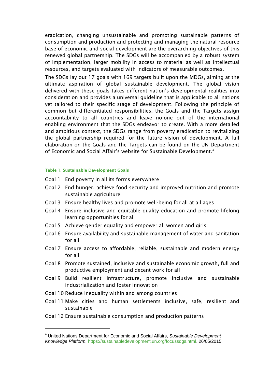eradication, changing unsustainable and promoting sustainable patterns of consumption and production and protecting and managing the natural resource base of economic and social development are the overarching objectives of this renewed global partnership. The SDGs will be accompanied by a robust system of implementation, larger mobility in access to material as well as intellectual resources, and targets evaluated with indicators of measurable outcomes.

The SDGs lay out 17 goals with 169 targets built upon the MDGs, aiming at the ultimate aspiration of global sustainable development. The global vision delivered with these goals takes different nation's developmental realities into consideration and provides a universal guideline that is applicable to all nations yet tailored to their specific stage of development. Following the principle of common but differentiated responsibilities, the Goals and the Targets assign accountability to all countries and leave no-one out of the international enabling environment that the SDGs endeavor to create. With a more detailed and ambitious context, the SDGs range from poverty eradication to revitalizing the global partnership required for the future vision of development. A full elaboration on the Goals and the Targets can be found on the UN Department of Economic and Social Affair's website for Sustainable Development.<sup>4</sup>

#### **Table 1. Sustainable Development Goals**

- Goal 1 End poverty in all its forms everywhere
- Goal 2 End hunger, achieve food security and improved nutrition and promote sustainable agriculture
- Goal 3 Ensure healthy lives and promote well-being for all at all ages
- Goal 4 Ensure inclusive and equitable quality education and promote lifelong learning opportunities for all
- Goal 5 Achieve gender equality and empower all women and girls
- Goal 6 Ensure availability and sustainable management of water and sanitation for all
- Goal 7 Ensure access to affordable, reliable, sustainable and modern energy for all
- Goal 8 Promote sustained, inclusive and sustainable economic growth, full and productive employment and decent work for all
- Goal 9 Build resilient infrastructure, promote inclusive and sustainable industrialization and foster innovation
- Goal 10 Reduce inequality within and among countries

1

- Goal 11 Make cities and human settlements inclusive, safe, resilient and sustainable
- Goal 12 Ensure sustainable consumption and production patterns

<sup>4</sup> United Nations Department for Economic and Social Affairs, *Sustainable Development Knowledge Platform.* [https://sustainabledevelopment.un.org/focussdgs.html.](https://sustainabledevelopment.un.org/focussdgs.html) 26/05/2015.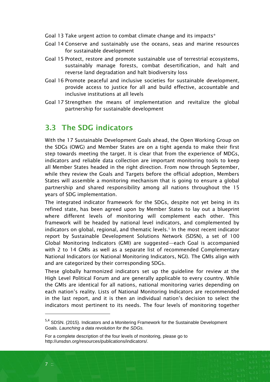- Goal 13 Take urgent action to combat climate change and its impacts\*
- Goal 14 Conserve and sustainably use the oceans, seas and marine resources for sustainable development
- Goal 15 Protect, restore and promote sustainable use of terrestrial ecosystems, sustainably manage forests, combat desertification, and halt and reverse land degradation and halt biodiversity loss
- Goal 16 Promote peaceful and inclusive societies for sustainable development, provide access to justice for all and build effective, accountable and inclusive institutions at all levels
- Goal 17 Strengthen the means of implementation and revitalize the global partnership for sustainable development

### **3.3 The SDG indicators**

With the 17 Sustainable Development Goals ahead, the Open Working Group on the SDGs (OWG) and Member States are on a tight agenda to make their first step towards meeting the target. It is clear that from the experience of MDGs, indicators and reliable data collection are important monitoring tools to keep all Member States headed in the right direction. From now through September, while they review the Goals and Targets before the official adoption, Members States will assemble a monitoring mechanism that is going to ensure a global partnership and shared responsibility among all nations throughout the 15 years of SDG implementation.

The integrated indicator framework for the SDGs, despite not yet being in its refined state, has been agreed upon by Member States to lay out a blueprint where different levels of monitoring will complement each other. This framework will be headed by national level indicators, and complemented by indicators on global, regional, and thematic levels.<sup>5</sup> In the most recent indicator report by Sustainable Development Solutions Network (SDSN), a set of 100 Global Monitoring Indicators (GMI) are suggested—each Goal is accompanied with 2 to 14 GMIs as well as a separate list of recommended Complementary National Indicators (or National Monitoring Indicators, NGI). The GMIs align with and are categorized by their corresponding SDGs.

These globally harmonized indicators set up the guideline for review at the High Level Political Forum and are generally applicable to every country. While the GMIs are identical for all nations, national monitoring varies depending on each nation's reality. Lists of National Monitoring Indicators are recommended in the last report, and it is then an individual nation's decision to select the indicators most pertinent to its needs. The four levels of monitoring together

 $5.4$  SDSN. (2015). Indicators and a Monitering Framework for the Sustainable Development Goals. *Launching a data revolution for the SDGs.*

For a complete description of the four levels of monitoring, please go to http://unsdsn.org/resources/publications/indicators/.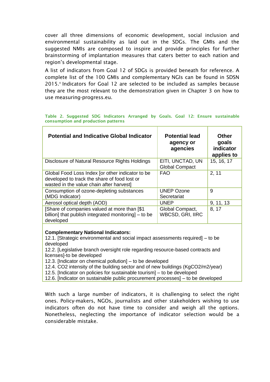cover all three dimensions of economic development, social inclusion and environmental sustainability as laid out in the SDGs. The GMIs and the suggested NMIs are composed to inspire and provide principles for further brainstorming of implantation measures that caters better to each nation and region's developmental stage.

A list of indicators from Goal 12 of SDGs is provided beneath for reference. A complete list of the 100 GMIs and complementary NGIs can be found in SDSN 2015.4 Indicators for Goal 12 are selected to be included as samples because they are the most relevant to the demonstration given in Chapter 3 on how to use measuring-progress.eu.

| <b>Potential and Indicative Global Indicator</b>                                                                                             | <b>Potential lead</b><br>agency or<br>agencies | Other<br>goals<br>indicator<br>applies to |
|----------------------------------------------------------------------------------------------------------------------------------------------|------------------------------------------------|-------------------------------------------|
| Disclosure of Natural Resource Rights Holdings                                                                                               | EITI, UNCTAD, UN<br><b>Global Compact</b>      | 15, 16, 17                                |
| Global Food Loss Index for other indicator to be<br>developed to track the share of food lost or<br>wasted in the value chain after harvest] | <b>FAO</b>                                     | 2, 11                                     |
| Consumption of ozone-depleting substances<br>(MDG Indicator)                                                                                 | <b>UNEP Ozone</b><br>Secretariat               | 9                                         |
| Aerosol optical depth (AOD)                                                                                                                  | <b>UNEP</b>                                    | 9, 11, 13                                 |
| [Share of companies valued at more than [\$1<br>billion] that publish integrated monitoring] – to be<br>developed                            | Global Compact,<br><b>WBCSD, GRI, IIRC</b>     | 8, 17                                     |

#### **Table 2. Suggested SDG Indicators Arranged by Goals. Goal 12: Ensure sustainable consumption and production patterns**

#### **Complementary National Indicators:**

12.1. [Strategic environmental and social impact assessments required] – to be developed

12.2. [Legislative branch oversight role regarding resource-based contracts and licenses]-to be developed

12.3. [Indicator on chemical pollution] – to be developed

12.4. CO2 intensity of the building sector and of new buildings (KgCO2/m2/year)

12.5. [Indicator on policies for sustainable tourism] – to be developed

12.6. [Indicator on sustainable public procurement processes] – to be developed

With such a large number of indicators, it is challenging to select the right ones. Policy-makers, NGOs, journalists and other stakeholders wishing to use indicators often do not have time to consider and weigh all the options. Nonetheless, neglecting the importance of indicator selection would be a considerable mistake.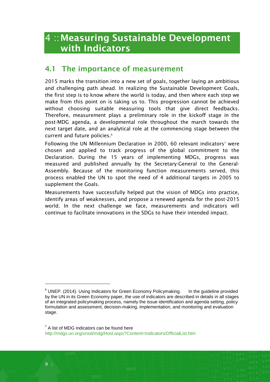# 4 ::**Measuring Sustainable Development with Indicators**

### **4.1 The importance of measurement**

2015 marks the transition into a new set of goals, together laying an ambitious and challenging path ahead. In realizing the Sustainable Development Goals, the first step is to know where the world is today, and then where each step we make from this point on is taking us to. This progression cannot be achieved without choosing suitable measuring tools that give direct feedbacks. Therefore, measurement plays a preliminary role in the kickoff stage in the post-MDG agenda, a developmental role throughout the march towards the next target date, and an analytical role at the commencing stage between the current and future policies.<sup>6</sup>

Following the UN Millennium Declaration in 2000, 60 relevant indicators<sup>7</sup> were chosen and applied to track progress of the global commitment to the Declaration. During the 15 years of implementing MDGs, progress was measured and published annually by the Secretary-General to the General-Assembly. Because of the monitoring function measurements served, this process enabled the UN to spot the need of 4 additional targets in 2005 to supplement the Goals.

Measurements have successfully helped put the vision of MDGs into practice, identify areas of weaknesses, and propose a renewed agenda for the post-2015 world. In the next challenge we face, measurements and indicators will continue to facilitate innovations in the SDGs to have their intended impact.

 $6$  UNEP. (2014). Using Indicators for Green Economy Policymaking. In the quideline provided by the UN in its Green Economy paper, the use of indicators are described in details in all stages of an integrated policymaking process, namely the issue identification and agenda setting, policy formulation and assessment, decision-making, implementation, and monitoring and evaluation stage.

 $7$  A list of MDG indicators can be found here <http://mdgs.un.org/unsd/mdg/Host.aspx?Content=Indicators/OfficialList.htm>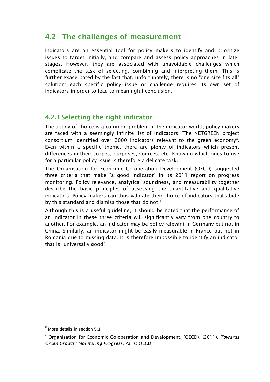## **4.2 The challenges of measurement**

Indicators are an essential tool for policy makers to identify and prioritize issues to target initially, and compare and assess policy approaches in later stages. However, they are associated with unavoidable challenges which complicate the task of selecting, combining and interpreting them. This is further exacerbated by the fact that, unfortunately, there is no "one size fits all" solution: each specific policy issue or challenge requires its own set of indicators in order to lead to meaningful conclusion.

### **4.2.1 Selecting the right indicator**

The agony of choice is a common problem in the indicator world; policy makers are faced with a seemingly infinite list of indicators. The NETGREEN project consortium identified over 2000 indicators relevant to the green economy<sup>8</sup>. Even within a specific theme, there are plenty of indicators which present differences in their scopes, purposes, sources, etc. Knowing which ones to use for a particular policy issue is therefore a delicate task.

The Organisation for Economic Co-operation Development (OECD) suggested three criteria that make "a good indicator" in its 2011 report on progress monitoring. Policy relevance, analytical soundness, and measurability together describe the basic principles of assessing the quantitative and qualitative indicators. Policy makers can thus validate their choice of indicators that abide by this standard and dismiss those that do not.<sup>9</sup>

Although this is a useful guideline, it should be noted that the performance of an indicator in these three criteria will significantly vary from one country to another. For example, an indicator may be policy relevant in Germany but not in China. Similarly, an indicator might be easily measurable in France but not in Romania due to missing data. It is therefore impossible to identify an indicator that is "universally good".

<sup>8</sup> More details in section 5.1

<sup>9</sup> Organisation for Economic Co-operation and Development. (OECD). (2011). *Towards Green Growth: Monitoring Progress*. Paris: OECD.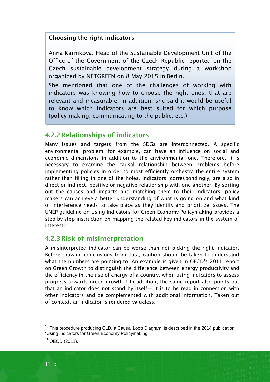#### **Choosing the right indicators**

Anna Karnikova, Head of the Sustainable Development Unit of the Office of the Government of the Czech Republic reported on the Czech sustainable development strategy during a workshop organized by NETGREEN on 8 May 2015 in Berlin.

She mentioned that one of the challenges of working with indicators was knowing how to choose the right ones, that are relevant and measurable. In addition, she said it would be useful to know which indicators are best suited for which purpose (policy-making, communicating to the public, etc.)

#### **4.2.2Relationships of indicators**

Many issues and targets from the SDGs are interconnected. A specific environmental problem, for example, can have an influence on social and economic dimensions in addition to the environmental one. Therefore, it is necessary to examine the causal relationship between problems before implementing policies in order to most efficiently orchestra the entire system rather than filling in one of the holes. Indicators, correspondingly, are also in direct or indirect, positive or negative relationship with one another. By sorting out the causes and impacts and matching them to their indicators, policy makers can achieve a better understanding of what is going on and what kind of interference needs to take place as they identify and prioritize issues. The UNEP guideline on Using Indicators for Green Economy Policymaking provides a step-by-step instruction on mapping the related key indicators in the system of interest.<sup>10</sup>

#### **4.2.3Risk of misinterpretation**

A misinterpreted indicator can be worse than not picking the right indicator. Before drawing conclusions from data, caution should be taken to understand what the numbers are pointing to. An example is given in OECD's 2011 report on Green Growth to distinguish the difference between energy productivity and the efficiency in the use of energy of a country, when using indicators to assess progress towards green growth.<sup>11</sup> In addition, the same report also points out that an indicator does not stand by itself— it is to be read in connection with other indicators and be complemented with additional information. Taken out of context, an indicator is rendered valueless.

 $10$  This procedure producing CLD, a Causal Loop Diagram, is described in the 2014 publication "Using Indicators for Green Economy Policymaking."

<sup>11</sup> OECD (2011).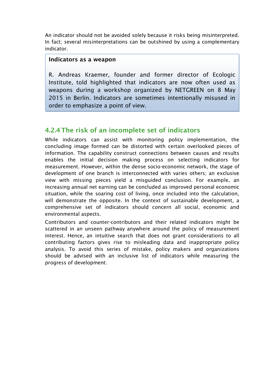An indicator should not be avoided solely because it risks being misinterpreted. In fact; several misinterpretations can be outshined by using a complementary indicator.

#### **Indicators as a weapon**

R. Andreas Kraemer, founder and former director of Ecologic Institute, told highlighted that indicators are now often used as weapons during a workshop organized by NETGREEN on 8 May 2015 in Berlin. Indicators are sometimes intentionally misused in order to emphasize a point of view.

### **4.2.4The risk of an incomplete set of indicators**

While indicators can assist with monitoring policy implementation, the concluding image formed can be distorted with certain overlooked pieces of information. The capability construct connections between causes and results enables the initial decision making process on selecting indicators for measurement. However, within the dense socio-economic network, the stage of development of one branch is interconnected with varies others; an exclusive view with missing pieces yield a misguided conclusion. For example, an increasing annual net earning can be concluded as improved personal economic situation, while the soaring cost of living, once included into the calculation, will demonstrate the opposite. In the context of sustainable development, a comprehensive set of indicators should concern all social, economic and environmental aspects.

Contributors and counter-contributors and their related indicators might be scattered in an unseen pathway anywhere around the policy of measurement interest. Hence, an intuitive search that does not grant considerations to all contributing factors gives rise to misleading data and inappropriate policy analysis. To avoid this series of mistake, policy makers and organizations should be advised with an inclusive list of indicators while measuring the progress of development.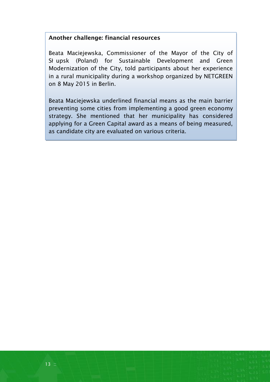#### **Another challenge: financial resources**

Beata Maciejewska, Commissioner of the Mayor of the City of Sł upsk (Poland) for Sustainable Development and Green Modernization of the City, told participants about her experience in a rural municipality during a workshop organized by NETGREEN on 8 May 2015 in Berlin.

Beata Maciejewska underlined financial means as the main barrier preventing some cities from implementing a good green economy strategy. She mentioned that her municipality has considered applying for a Green Capital award as a means of being measured, as candidate city are evaluated on various criteria.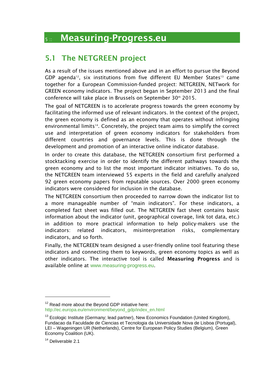# **5.1 The NETGREEN project**

As a result of the issues mentioned above and in an effort to pursue the Beyond GDP agenda<sup>12</sup>, six institutions from five different EU Member States<sup>13</sup> came together for a European Commission-funded project: NETGREEN, NETwork for GREEN economy indicators. The project began in September 2013 and the final conference will take place in Brussels on September 30th 2015.

The goal of NETGREEN is to accelerate progress towards the green economy by facilitating the informed use of relevant indicators. In the context of the project, the green economy is defined as an economy that operates without infringing environmental limits<sup>14</sup>. Concretely, the project team aims to simplify the correct use and interpretation of green economy indicators for stakeholders from different countries and governance levels. This is done through the development and promotion of an interactive online indicator database.

In order to create this database, the NETGREEN consortium first performed a stocktacking exercise in order to identify the different pathways towards the green economy and to list the most important indicator initiatives. To do so, the NETGREEN team interviewed 55 experts in the field and carefully analyzed 92 green economy papers from reputable sources. Over 2000 green economy indicators were considered for inclusion in the database.

The NETGREEN consortium then proceeded to narrow down the indicator list to a more manageable number of "main indicators". For these indicators, a completed fact sheet was filled out. The NETGREEN fact sheet contains basic information about the indicator (unit, geographical coverage, link tot data, etc.) in addition to more practical information to help policy-makers use the indicators: related indicators, misinterpretation risks, complementary indicators, and so forth.

Finally, the NETGREEN team designed a user-friendly online tool featuring these indicators and connecting them to keywords, green economy topics as well as other indicators. The interactive tool is called **Measuring Progress** and is available online at [www.measuring-progress.eu](http://www.measuring-progress.eu/).

 $12$  Read more about the Beyond GDP initiative here:

[http://ec.europa.eu/environment/beyond\\_gdp/index\\_en.html](http://ec.europa.eu/environment/beyond_gdp/index_en.html)

 $13$  Ecologic Institute (Germany; lead partner), New Economics Foundation (United Kingdom), Fundacao da Faculdade de Ciencias et Tecnologia da Universidade Nova de Lisboa (Portugal), LEI – Wageningen UR (Netherlands), Centre for European Policy Studies (Belgium), Green Economy Coalition (UK).

<sup>&</sup>lt;sup>14</sup> Deliverable 2.1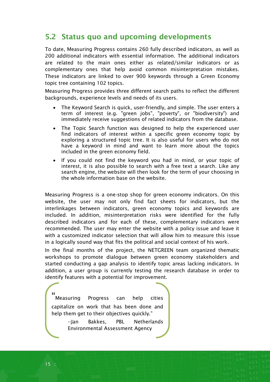## **5.2 Status quo and upcoming developments**

To date, Measuring Progress contains 260 fully described indicators, as well as 200 additional indicators with essential information. The additional indicators are related to the main ones either as related/similar indicators or as complementary ones that help avoid common misinterpretation mistakes. These indicators are linked to over 900 keywords through a Green Economy topic tree containing 102 topics.

Measuring Progress provides three different search paths to reflect the different backgrounds, experience levels and needs of its users.

- The Keyword Search is quick, user-friendly, and simple. The user enters a term of interest (e.g. "green jobs", "poverty", or "biodiversity") and immediately receive suggestions of related indicators from the database.
- The Topic Search function was designed to help the experienced user find indicators of interest within a specific green economy topic by exploring a structured topic tree. It is also useful for users who do not have a keyword in mind and want to learn more about the topics included in the green economy field.
- If you could not find the keyword you had in mind, or your topic of interest, it is also possible to search with a free text a search. Like any search engine, the website will then look for the term of your choosing in the whole information base on the website.

Measuring Progress is a one-stop shop for green economy indicators. On this website, the user may not only find fact sheets for indicators, but the interlinkages between indicators, green economy topics and keywords are included. In addition, misinterpretation risks were identified for the fully described indicators and for each of these, complementary indicators were recommended. The user may enter the website with a policy issue and leave it with a customized indicator selection that will allow him to measure this issue in a logically sound way that fits the political and social context of his work.

In the final months of the project, the NETGREEN team organized thematic workshops to promote dialogue between green economy stakeholders and started conducting a gap analysis to identify topic areas lacking indicators. In addition, a user group is currently testing the research database in order to identify features with a potential for improvement.

 $\alpha$ Measuring Progress can help cities capitalize on work that has been done and help them get to their objectives quickly."

> --Jan Bakkes, PBL Netherlands Environmental Assessment Agency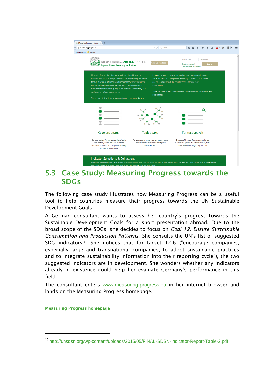|                                   | measuring-progress.eu                                                                                                                                                                                                                                                                                                                                                                                                                                                               |  | Q Search<br>$\forall C$                                                                                                                                                                                                                                                                                                               |                                                                                       |                                                        |                           |  |  |
|-----------------------------------|-------------------------------------------------------------------------------------------------------------------------------------------------------------------------------------------------------------------------------------------------------------------------------------------------------------------------------------------------------------------------------------------------------------------------------------------------------------------------------------|--|---------------------------------------------------------------------------------------------------------------------------------------------------------------------------------------------------------------------------------------------------------------------------------------------------------------------------------------|---------------------------------------------------------------------------------------|--------------------------------------------------------|---------------------------|--|--|
| Getting Started <b>B</b> Ecologic |                                                                                                                                                                                                                                                                                                                                                                                                                                                                                     |  |                                                                                                                                                                                                                                                                                                                                       |                                                                                       |                                                        |                           |  |  |
|                                   | MEASURING-PROGRESS.EU<br>Explore Green Economy Indicators                                                                                                                                                                                                                                                                                                                                                                                                                           |  | <b>Give us feedback</b>                                                                                                                                                                                                                                                                                                               |                                                                                       | Username<br>Create new account<br>Request new password | <b>Password</b><br>Log in |  |  |
|                                   | Measuring Progress is an interactive online tool providing green<br>economy indicators for policy-makers and the people trying to influence<br>them. It is based on a framework of green economy policy outcomes<br>which cover the five pillars of the green economy: environmental<br>sustainability, social justice, quality of life, economic sustainability and<br>resilience, and effective governance.<br>The tool was designed to help you identify and understand the best |  | indicators to measure progress towards the green economy. It supports<br>you in the search for the right indicators for your specific policy problem,<br>and helps you interpret the indicators' strengths and their<br>shortcomings.<br>There are three different ways to search the database and retrieve indicator<br>suggestions: |                                                                                       |                                                        |                           |  |  |
|                                   |                                                                                                                                                                                                                                                                                                                                                                                                                                                                                     |  |                                                                                                                                                                                                                                                                                                                                       |                                                                                       |                                                        |                           |  |  |
|                                   | <b>Keyword search</b>                                                                                                                                                                                                                                                                                                                                                                                                                                                               |  | <b>Topic search</b>                                                                                                                                                                                                                                                                                                                   |                                                                                       | <b>Fulltext search</b>                                 |                           |  |  |
|                                   | Our best option. You can use our list of policy<br>relevant keywords. We have created a<br>Framework to link specific keywords through<br>our topics to indicators.                                                                                                                                                                                                                                                                                                                 |  | For a structured search you can choose one or<br>several set topics from a tree of green<br>economy topics.                                                                                                                                                                                                                           | Because of how our framework works we<br>recommend you try the other searches, but if | those don't work for you, try this one.                |                           |  |  |

### **5.3 Case Study: Measuring Progress towards the SDGs**

The following case study illustrates how Measuring Progress can be a useful tool to help countries measure their progress towards the UN Sustainable Development Goals.

A German consultant wants to assess her country's progress towards the Sustainable Development Goals for a short presentation abroad. Due to the broad scope of the SDGs, she decides to focus on *Goal 12: Ensure Sustainable Consumption and Production Patterns*. She consults the UN's list of suggested SDG indicators<sup>15</sup>. She notices that for target  $12.6$  ("encourage companies, especially large and transnational companies, to adopt sustainable practices and to integrate sustainability information into their reporting cycle"), the two suggested indicators are in development. She wonders whether any indicators already in existence could help her evaluate Germany's performance in this field.

The consultant enters [www.measuring-progress.eu](http://www.measuring-progress.eu/) in her internet browser and lands on the Measuring Progress homepage.

**Measuring Progress homepage**

<sup>15</sup> <http://unsdsn.org/wp-content/uploads/2015/05/FINAL-SDSN-Indicator-Report-Table-2.pdf>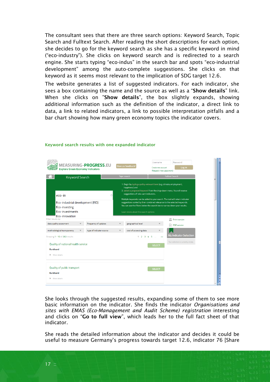The consultant sees that there are three search options: Keyword Search, Topic Search and Fulltext Search. After reading the short descriptions for each option, she decides to go for the keyword search as she has a specific keyword in mind ("eco-industry"). She clicks on keyword search and is redirected to a search engine. She starts typing "eco-indus" in the search bar and spots "eco-industrial development" among the auto-complete suggestions. She clicks on that keyword as it seems most relevant to the implication of SDG target 12.6.

The website generates a list of suggested indicators. For each indicator, she sees a box containing the name and the source as well as a "**Show details**" link. When she clicks on "**Show details**", the box slightly expands, showing additional information such as the definition of the indicator, a direct link to data, a link to related indicators, a link to possible interpretation pitfalls and a bar chart showing how many green economy topics the indicator covers.



#### **Keyword search results with one expanded indicator**

She looks through the suggested results, expanding some of them to see more basic information on the indicator. She finds the indicator *Organisations and sites with EMAS (Eco-Management and Audit Scheme) registration* interesting and clicks on "**Go to full view**", which leads her to the full fact sheet of that indicator.

She reads the detailed information about the indicator and decides it could be useful to measure Germany's progress towards target 12.6, indicator 76 [Share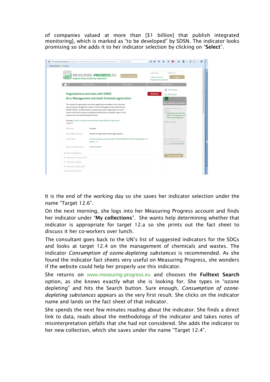of companies valued at more than [\$1 billion] that publish integrated monitoring], which is marked as "to be developed" by SDSN. The indicator looks promising so she adds it to her indicator selection by clicking on "**Select**".

| Getting Started Ecologic |                                                      |                                                                                                                                                                                                                                                                                                                                                                                                                                                        |                                                                                                                                                                                                  |
|--------------------------|------------------------------------------------------|--------------------------------------------------------------------------------------------------------------------------------------------------------------------------------------------------------------------------------------------------------------------------------------------------------------------------------------------------------------------------------------------------------------------------------------------------------|--------------------------------------------------------------------------------------------------------------------------------------------------------------------------------------------------|
|                          |                                                      | MEASURING- <b>PROGRESS</b> .EU<br>Give us feedback<br><b>Explore Green Economy Indicators</b>                                                                                                                                                                                                                                                                                                                                                          | Password<br>Username<br>Log in<br>Create new account<br>Request new password                                                                                                                     |
|                          |                                                      | <b>Keyword Search</b><br><b>Topic search</b>                                                                                                                                                                                                                                                                                                                                                                                                           | <b>Fulltext Search</b>                                                                                                                                                                           |
|                          |                                                      | <b>Organisations and sites with EMAS</b>                                                                                                                                                                                                                                                                                                                                                                                                               | 凰<br><b>Print version</b><br><b>REMOVE</b><br>A PDF version                                                                                                                                      |
|                          | improve their environmental performance.<br>12.02.15 | (Eco-Management and Audit Scheme) registration<br>The number of organisations and sites registered as members of the voluntary<br>environmental management system, The Eco-Management and Audit Scheme<br>(EMAS). EMAS is implemented by companies and other organisations from all<br>sectors of economic activity including local authorities, to evaluate, report on and<br>Eurostat, http://ec.europa.eu/eurostat/tgm/web/table/description.jspie, | <b>My Indicator Selection</b><br>You have 1 indicator in your<br>selection:<br><b>D</b> Organisations and sites with<br>EMAS (Eco-Management and<br>Audit Scheme) registration<br>Topic coverage |
|                          | Data host:                                           | Eurostat                                                                                                                                                                                                                                                                                                                                                                                                                                               |                                                                                                                                                                                                  |
|                          | <b>Unit of Measurement:</b>                          | Number of organisations (# of organisations)                                                                                                                                                                                                                                                                                                                                                                                                           |                                                                                                                                                                                                  |
|                          | Link to Data:<br>Type of Indicator source:           | http://ec.europa.eu/eurostat/tgm/refreshTableAction.do?tab=table&plugin=1&<br>pcode=@<br><b>Statistical office</b>                                                                                                                                                                                                                                                                                                                                     | Topic coverage: shows the<br>number of relations the indicator<br>has in the five main topic areas.                                                                                              |
|                          | Data availability                                    |                                                                                                                                                                                                                                                                                                                                                                                                                                                        |                                                                                                                                                                                                  |
|                          | Indicator construction                               |                                                                                                                                                                                                                                                                                                                                                                                                                                                        | Go to full view                                                                                                                                                                                  |
|                          | Indicator quality                                    |                                                                                                                                                                                                                                                                                                                                                                                                                                                        |                                                                                                                                                                                                  |
|                          | $\triangleright$ Indicator application               |                                                                                                                                                                                                                                                                                                                                                                                                                                                        |                                                                                                                                                                                                  |
|                          | $\triangleright$ Indicator theme                     |                                                                                                                                                                                                                                                                                                                                                                                                                                                        |                                                                                                                                                                                                  |

It is the end of the working day so she saves her indicator selection under the name "Target 12.6".

On the next morning, she logs into her Measuring Progress account and finds her indicator under "**My collections**". She wants help determining whether that indicator is appropriate for target 12.a so she prints out the fact sheet to discuss it her co-workers over lunch.

The consultant goes back to the UN's list of suggested indicators for the SDGs and looks at target 12.4 on the management of chemicals and wastes. The indicator *Consumption of ozone-depleting substances* is recommended. As she found the indicator fact sheets very useful on Measuring Progress, she wonders if the website could help her properly use this indicator.

She returns on [www.measuring-progress.eu](http://www.measuring-progress.eu/) and chooses the **Fulltext Search** option, as she knows exactly what she is looking for. She types in "ozone depleting" and hits the Search button. Sure enough, *Consumption of ozonedepleting substances* appears as the very first result. She clicks on the indicator name and lands on the fact sheet of that indicator.

She spends the next few minutes reading about the indicator. She finds a direct link to data, reads about the methodology of the indicator and takes notes of misinterpretation pitfalls that she had not considered. She adds the indicator to her new collection, which she saves under the name "Target 12.4".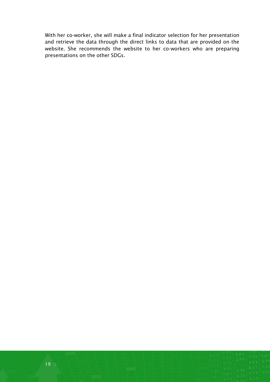With her co-worker, she will make a final indicator selection for her presentation and retrieve the data through the direct links to data that are provided on the website. She recommends the website to her co-workers who are preparing presentations on the other SDGs.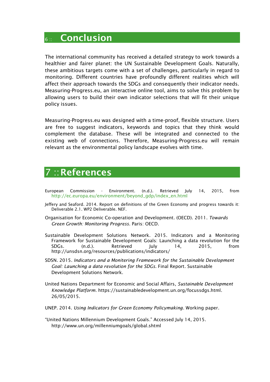# 6 :: **Conclusion**

The international community has received a detailed strategy to work towards a healthier and fairer planet: the UN Sustainable Development Goals. Naturally, these ambitious targets come with a set of challenges, particularly in regard to monitoring. Different countries have profoundly different realities which will affect their approach towards the SDGs and consequently their indicator needs. Measuring-Progress.eu, an interactive online tool, aims to solve this problem by allowing users to build their own indicator selections that will fit their unique policy issues.

Measuring-Progress.eu was designed with a time-proof, flexible structure. Users are free to suggest indicators, keywords and topics that they think would complement the database. These will be integrated and connected to the existing web of connections. Therefore, Measuring-Progress.eu will remain relevant as the environmental policy landscape evolves with time.

# 7 ::**References**

- European Commission Environment. (n.d.). Retrieved July 14, 2015, from [http://ec.europa.eu/environment/beyond\\_gdp/index\\_en.html](http://ec.europa.eu/environment/beyond_gdp/index_en.html)
- Jeffery and Seaford. 2014. Report on definitions of the Green Economy and progress towards it: Deliverable 2.1. WP2 Deliverable. NEF.
- Organisation for Economic Co-operation and Development. (OECD). 2011. *Towards Green Growth: Monitoring Progress*. Paris: OECD.
- Sustainable Development Solutions Network. 2015. Indicators and a Monitoring Framework for Sustainable Development Goals: Launching a data revolution for the SDGs. (n.d.). Retrieved July 14, 2015, from http://unsdsn.org/resources/publications/indicators/
- SDSN. 2015. *Indicators and a Monitering Framework for the Sustainable Development Goal: Launching a data revolution for the SDGs.* Final Report. Sustainable Development Solutions Network.
- United Nations Department for Economic and Social Affairs, *Sustainable Development Knowledge Platform.* [https://sustainabledevelopment.un.org/focussdgs.html.](https://sustainabledevelopment.un.org/focussdgs.html.%2026/05/2015)  [26/05/2015.](https://sustainabledevelopment.un.org/focussdgs.html.%2026/05/2015)
- UNEP. 2014. *Using Indicators for Green Economy Policymaking*. Working paper.
- "United Nations Millennium Development Goals." Accessed July 14, 2015. http://www.un.org/millenniumgoals/global.shtml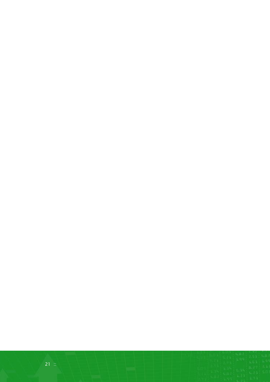$\begin{array}{l} 6.09 \hskip 1.08cm \begin{array}{l} 4.02 \hskip 1.08cm \begin{array}{l} 4.02 \hskip 1.08cm \begin{array}{l} 4.02 \hskip 1.08cm \begin{array}{l} 4.02 \hskip 1.08cm \begin{array}{l} 4.02 \hskip 1.08cm \end{array} \end{array} \end{array} \end{array} \end{array} \end{array}$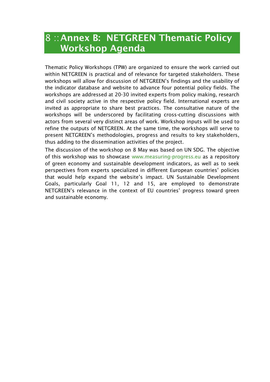# 8 ::**Annex B: NETGREEN Thematic Policy Workshop Agenda**

Thematic Policy Workshops (TPW) are organized to ensure the work carried out within NETGREEN is practical and of relevance for targeted stakeholders. These workshops will allow for discussion of NETGREEN's findings and the usability of the indicator database and website to advance four potential policy fields. The workshops are addressed at 20-30 invited experts from policy making, research and civil society active in the respective policy field. International experts are invited as appropriate to share best practices. The consultative nature of the workshops will be underscored by facilitating cross-cutting discussions with actors from several very distinct areas of work. Workshop inputs will be used to refine the outputs of NETGREEN. At the same time, the workshops will serve to present NETGREEN's methodologies, progress and results to key stakeholders, thus adding to the dissemination activities of the project.

The discussion of the workshop on 8 May was based on UN SDG. The objective of this workshop was to showcase [www.measuring-progress.eu](http://www.measuring-progress.eu/) as a repository of green economy and sustainable development indicators, as well as to seek perspectives from experts specialized in different European countries' policies that would help expand the website's impact. UN Sustainable Development Goals, particularly Goal 11, 12 and 15, are employed to demonstrate NETGREEN's relevance in the context of EU countries' progress toward green and sustainable economy.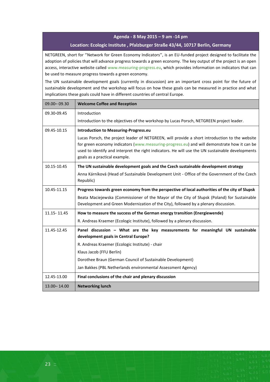#### **Agenda - 8 May 2015 – 9 am -14 pm**

#### **Location: Ecologic Institute , Pfalzburger Straße 43/44, 10717 Berlin, Germany**

NETGREEN, short for ''Network for Green Economy Indicators'', is an EU-funded project designed to facilitate the adoption of policies that will advance progress towards a green economy. The key output of the project is an open access, interactive website called [www.measuring-progress.eu,](http://www.measuring-progress.eu/) which provides information on indicators that can be used to measure progress towards a green economy.

The UN sustainable development goals (currently in discussion) are an important cross point for the future of sustainable development and the workshop will focus on how these goals can be measured in practice and what implications these goals could have in different countries of central Europe.

| $09.00 - 09.30$ | <b>Welcome Coffee and Reception</b>                                                                                                                                                                                                                                                                                                |
|-----------------|------------------------------------------------------------------------------------------------------------------------------------------------------------------------------------------------------------------------------------------------------------------------------------------------------------------------------------|
| 09.30-09.45     | Introduction                                                                                                                                                                                                                                                                                                                       |
|                 | Introduction to the objectives of the workshop by Lucas Porsch, NETGREEN project leader.                                                                                                                                                                                                                                           |
| 09.45-10.15     | <b>Introduction to Measuring-Progress.eu</b>                                                                                                                                                                                                                                                                                       |
|                 | Lucas Porsch, the project leader of NETGREEN, will provide a short introduction to the website<br>for green economy indicators (www.measuring-progress.eu) and will demonstrate how it can be<br>used to identify and interpret the right indicators. He will use the UN sustainable developments<br>goals as a practical example. |
| 10.15-10.45     | The UN sustainable development goals and the Czech sustainable development strategy                                                                                                                                                                                                                                                |
|                 | Anna Kárníková (Head of Sustainable Development Unit - Office of the Government of the Czech<br>Republic)                                                                                                                                                                                                                          |
| 10.45-11.15     | Progress towards green economy from the perspective of local authorities of the city of Slupsk                                                                                                                                                                                                                                     |
|                 | Beata Maciejewska (Commissioner of the Mayor of the City of Słupsk (Poland) for Sustainable<br>Development and Green Modernization of the City), followed by a plenary discussion.                                                                                                                                                 |
| 11.15 - 11.45   | How to measure the success of the German energy transition (Energiewende)                                                                                                                                                                                                                                                          |
|                 | R. Andreas Kraemer (Ecologic Institute), followed by a plenary discussion.                                                                                                                                                                                                                                                         |
| 11.45-12.45     | Panel discussion - What are the key measurements for meaningful UN sustainable<br>development goals in Central Europe?                                                                                                                                                                                                             |
|                 | R. Andreas Kraemer (Ecologic Institute) - chair                                                                                                                                                                                                                                                                                    |
|                 | Klaus Jacob (FFU Berlin)                                                                                                                                                                                                                                                                                                           |
|                 | Dorothee Braun (German Council of Sustainable Development)                                                                                                                                                                                                                                                                         |
|                 | Jan Bakkes (PBL Netherlands environmental Assessment Agency)                                                                                                                                                                                                                                                                       |
| 12.45-13.00     | Final conclusions of the chair and plenary discussion                                                                                                                                                                                                                                                                              |
| $13.00 - 14.00$ | <b>Networking lunch</b>                                                                                                                                                                                                                                                                                                            |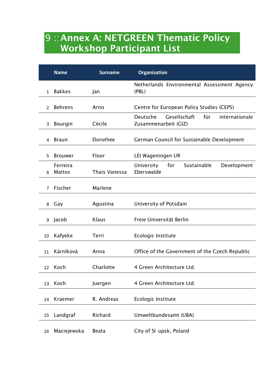# 9 ::**Annex A: NETGREEN Thematic Policy Workshop Participant List**

|    | <b>Name</b>               | <b>Surname</b> | <b>Organisation</b>                                                       |
|----|---------------------------|----------------|---------------------------------------------------------------------------|
| 1  | <b>Bakkes</b>             | Jan            | Netherlands Environmental Assessment Agency<br>(PBL)                      |
| 2  | <b>Behrens</b>            | Arno           | Centre for European Policy Studies (CEPS)                                 |
| 3  | Bourgin                   | Cécile         | Gesellschaft<br>für<br>Deutsche<br>internationale<br>Zusammenarbeit (GIZ) |
| 4  | <b>Braun</b>              | Dorothee       | German Council for Sustainable Development                                |
| 5  | <b>Brouwer</b>            | Floor          | LEI Wageningen UR                                                         |
| 6  | Ferreira<br><b>Mattos</b> | Thaís Vanessa  | University<br>Sustainable<br>Development<br>for<br>Eberswalde             |
| 7  | Fischer                   | Marlene        |                                                                           |
| 8  | Gay                       | Agustina       | University of Potsdam                                                     |
| 9  | Jacob                     | Klaus          | Freie Universität Berlin                                                  |
| 10 | Kafyeke                   | Terri          | Ecologic Institute                                                        |
| 11 | Kárníková                 | Anna           | Office of the Government of the Czech Republic                            |
|    | 12 Koch                   | Charlotte      | 4 Green Architecture Ltd.                                                 |
| 13 | Koch                      | Juergen        | 4 Green Architecture Ltd.                                                 |
| 14 | Kraemer                   | R. Andreas     | Ecologic Institute                                                        |
| 15 | Landgraf                  | Richard        | Umweltbundesamt (UBA)                                                     |
| 16 | Maciejewska               | <b>Beata</b>   | City of Sł upsk, Poland                                                   |